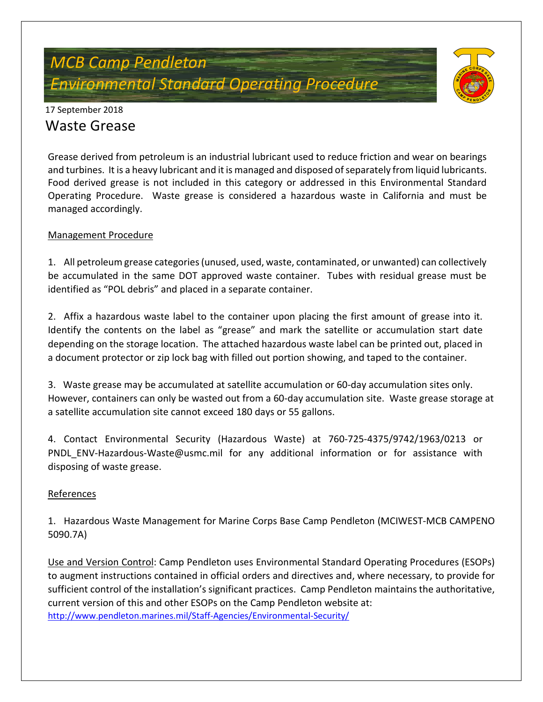# *MCB Camp Pendleton Environmental Standard Operating Procedure*



### 17 September 2018 Waste Grease

Grease derived from petroleum is an industrial lubricant used to reduce friction and wear on bearings and turbines. It is a heavy lubricant and it is managed and disposed of separately from liquid lubricants. Food derived grease is not included in this category or addressed in this Environmental Standard Operating Procedure. Waste grease is considered a hazardous waste in California and must be managed accordingly.

#### Management Procedure

1. All petroleum grease categories (unused, used, waste, contaminated, or unwanted) can collectively be accumulated in the same DOT approved waste container. Tubes with residual grease must be identified as "POL debris" and placed in a separate container.

2. Affix a hazardous waste label to the container upon placing the first amount of grease into it. Identify the contents on the label as "grease" and mark the satellite or accumulation start date depending on the storage location. The attached hazardous waste label can be printed out, placed in a document protector or zip lock bag with filled out portion showing, and taped to the container.

3. Waste grease may be accumulated at satellite accumulation or 60-day accumulation sites only. However, containers can only be wasted out from a 60-day accumulation site. Waste grease storage at a satellite accumulation site cannot exceed 180 days or 55 gallons.

4. Contact Environmental Security (Hazardous Waste) at 760-725-4375/9742/1963/0213 or PNDL ENV-Hazardous-Waste@usmc.mil for any additional information or for assistance with disposing of waste grease.

#### References

1. Hazardous Waste Management for Marine Corps Base Camp Pendleton (MCIWEST-MCB CAMPENO 5090.7A)

Use and Version Control: Camp Pendleton uses Environmental Standard Operating Procedures (ESOPs) to augment instructions contained in official orders and directives and, where necessary, to provide for sufficient control of the installation's significant practices. Camp Pendleton maintains the authoritative, current version of this and other ESOPs on the Camp Pendleton website at: <http://www.pendleton.marines.mil/Staff-Agencies/Environmental-Security/>